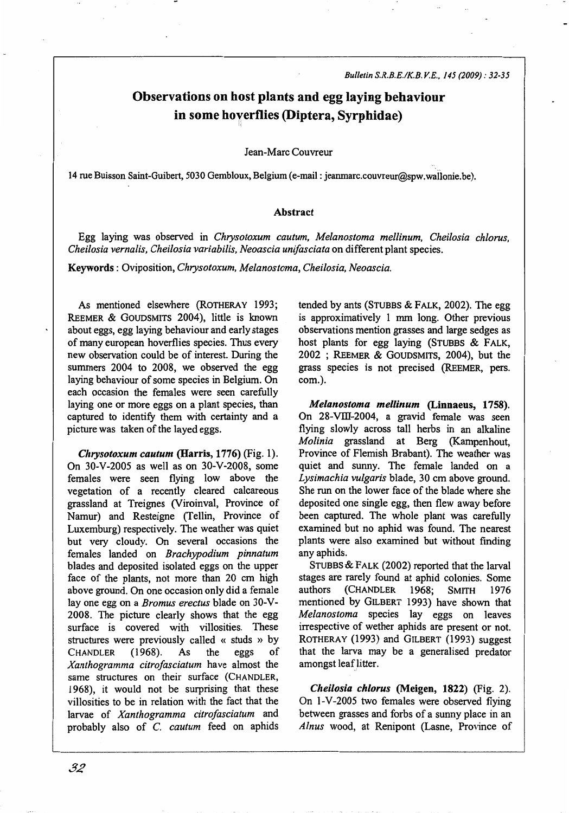# Observations on host plants and egg laying behaviour in some horerflies (Diptera, Syrphidae)

Jean-Marc Couvreur

14 rue Buisson Saint-Guibert, 5030 Gembloux, Belgium (e-mail: jeanmarc.couvreur@spw.wailonie.be).

### Abstract

Egg laying was observed in *Chrysotoxum cautum, Melanostoma mellinum, Chei/osia ch/orus, Chei/osia vernalis, Cheilosia variabilis, Neoascia unifasciata* on different plant species.

Keywords : Oviposition, *Chrysotoxum, Melanostoma, Cheilosia, Neoascia.* 

As mentioned elsewhere (ROTHERAY 1993; REEMER & GOUDSMITS 2004), little is known about eggs, egg laying behaviour and early stages of many european hoverflies species. Thus every new observation could be of interest. During the summers 2004 to 2008, we observed the egg laying behaviour of some species in Belgium. On each occasion the females were seen carefully laying one or more eggs on a plant species, than captured to identify them with certainty and a picture was taken of the layed eggs.

*Chrysotoxum cautum* (Harris, 1776) (Fig. 1). On 30-V-2005 as well as on 30-V-2008, some females were seen flying low above the vegetation of a recently cleared calcareous grassland at Treignes (Viroinval, Province of Namur) and Resteigne (Tellin, Province of Luxemburg) respectively. The weather was quiet but very cloudy. On several occasions the females landed on *Brachypodium pinnatum*  blades and deposited isolated eggs on the upper face of the plants, not more than 20 cm high above ground. On one occasion only did a female lay one egg on a *Bromus erectus* blade on 30-V-2008. The picture clearly shows that the egg surface is covered with villosities. These structures were previously called « studs » by CHANDLER (1968). As the eggs of *Xanthogramma citrofasciatum* have almost the same structures on their surface (CHANDLER, 1968), it would not be surprising that these villosities to be in relation with the fact that the larvae of *Xanthogramma citrofasciatum* and probably also of C. *cautum* feed on aphids tended by ants (STUBBS & FALK, 2002). The egg is approximatively 1 mm long. Other previous observations mention grasses and large sedges as host plants for egg laying (STUBBS  $&$  FALK, 2002 ; REEMER & GOUDSMITS, 2004), but the grass species is not precised {REEMER, pers. com.).

*Melanostoma mellinum* (Linnaeus, 1758). On 28-VIII-2004, a gravid female was seen flying slowly across tall herbs in an alkaline *Molinia* grassland at Berg (Kampenhout, Province of Flemish Brabant). The weather was quiet and sunny. The female landed on a *Lysimachia vulgaris* blade, 30 cm above ground. She run on the lower face of the blade where she deposited one single egg, then flew away before been captured. The whole plant was carefully examined but no aphid was found. The nearest plants were also examined but without finding any aphids.

STUBBS & FALK (2002) reported that the larval stages are rarely found at aphid colonies. Some authors (CHANDLER 1968; SMITH 1976 mentioned by GILBERT 1993) have shown that *Melanostoma* species lay eggs on leaves irrespective of wether aphids are present or not. ROTHERAY (1993) and GILBERT (1993) suggest that the larva may be a generalised predator amongst leaf litter.

*Cheilosia chlorus* (Meigen, 1822) (Fig. 2). On 1-V-2005 two females were observed flying between grasses and forbs of a sunny place in an *Alnus* wood, at Renipont (Lasne, Province of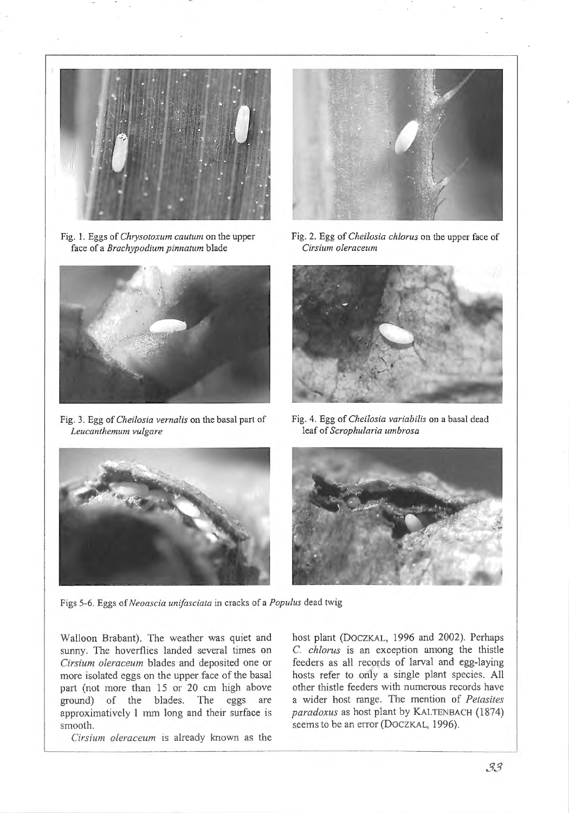

Fig. 1. Eggs of *Chrysotoxum cautum* on the upper face of a *Brachypodium pinnatum* blade



Fig. 3. Egg of *Cheilosia vernalis* on the basal part of *Leucanthemum vulgare* 



Fig. 2. Egg of *Cheilosia chlorus* on the upper face of *Cirsium oleraceum* 



Fig. 4. Egg of *Cheilosia variabilis* on a basal dead leaf of *Scrophularia umbrosa* 





Figs 5-6. Eggs of *Neoascia unifasciata* in cracks of a *Populus* dead twig

Walloon Brabant). The weather was quiet and sunny. The hoverflies landed several times on *Cirsium oleraceum* blades and deposited one or more isolated eggs on the upper face of the basal part (not more than 15 or 20 cm high above ground) of the blades. The eggs are approximatively 1 mm long and their surface is smooth.

*Cirsium oleraceum* is already known as the

host plant (DOCZKAL, 1996 and 2002). Perhaps C. *chlorus* is an exception among the thistle feeders as all records of larval and egg-laying hosts refer to only a single plant species. All other thistle feeders with numerous records have a wider host range. The mention of *Petasites paradoxus* as host plant by KALTENBACH (1874) seems to be an error (DOCZKAL, 1996).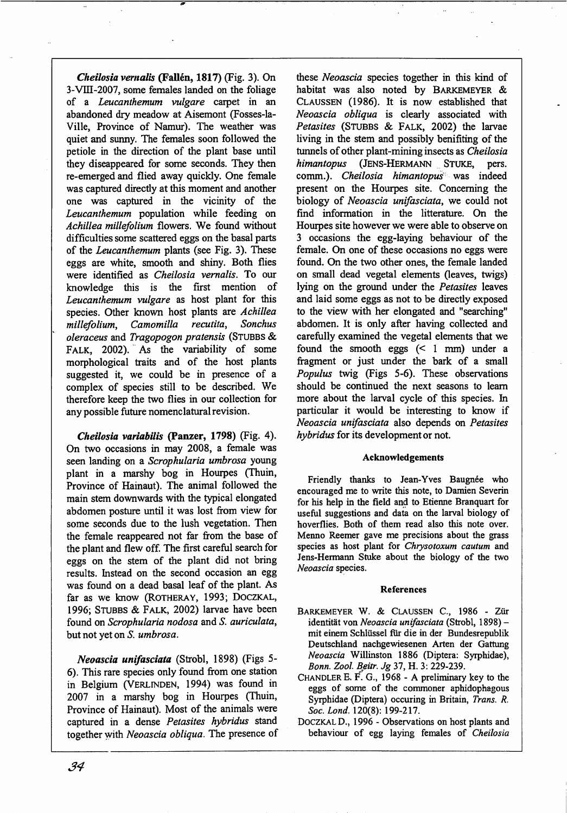*Cheilosia vernalis* (Fallén, 1817) (Fig. 3). On 3-Vlll-2007, some females landed on the foliage of a *Leucanthemum vulgare* carpet in an abandoned dry meadow at Aisemont (Fosses-la-Ville, Province of Namur). The weather was quiet and sunny. The females soon followed the petiole in the direction of the plant base until they diseappeared for some seconds. They then re-emerged and flied away quickly. One female was captured directly at this moment and another one was captured in the vicinity of the *Leucanthemum* population while feeding on *Achillea millefolium* flowers. We found without difficulties some scattered eggs on the basal parts of the *Leucanthemum* plants (see Fig. 3). These eggs are white, smooth and shiny. Both flies were identified as *Cheilosia vernalis.* To our knowledge this is the first mention of *Leucanthemum vulgare* as host plant for this species. Other known host plants are *Achillea millefolium, Camomilla recutita, Sonchus o/eraceus* and *Tragopogon pratensis* (STUBBS & FALK, 2002). As the variability of some morphological traits and of the host plants suggested it, we could be in presence of a complex of species still to be described. We therefore keep the two flies in our collection for any possible future nomenclatural revision.

*Cheilosia variabilis* (Panzer, 1798) (Fig. 4). On two occasions in may 2008, a female was seen landing on a *Scrophularia umbrosa* young plant in a marshy bog in Hourpes (Thuin, Province of Hainaut). The animal followed the main stem downwards with the typical elongated abdomen posture until it was lost from view for some seconds due to the lush vegetation. Then the female reappeared not far from the base of the plant and flew off. The first careful search for eggs on the stem of the plant did not bring results. Instead on the second occasion an egg was found on a dead basal leaf of the plant. As far as we know (ROTHERAY, 1993; DOCZKAL, 1996; STUBBS & FALK, 2002) larvae have been found on *Scrophularia nodosa* and *S. auricu/ata,*  but not yet on *S. umbrosa.* 

*Neoascia unifasciata* (Strobl, 1898) (Figs 5- 6). This rare species only found from one station in Belgium (VERLINDEN, 1994) was found in 2007 in a marshy bog in Hourpes (Thuin, Province of Hainaut). Most of the animals were captured in a dense *Petasites hybridus* stand together with *Neoascia obliqua.* The presence of these *Neoascia* species together in this kind of habitat was also noted by BARKEMEYER & CLAUSSEN (1986). It is now established that *Neoascia obliqua* is clearly associated with Petasites (STUBBS & FALK, 2002) the larvae living in the stem and possibly benifiting of the tunnels of other plant-mining insects as *Cheilosia himantopus* {JENS-HERMANN .. STUKE, pers. comm.). *Cheilosia himantopus* was indeed present on the Hourpes site. Concerning the biology of *Neoascia unifasciata,* we could not find information in the litterature. On the Hourpes site however we were able to observe on 3 occasions the egg-laying behaviour of the female. On one of these occasions no eggs were found. On the two other ones, the female landed on small dead vegetal elements (leaves, twigs) lying on the ground under the *Petasites* leaves and laid some eggs as not to be directly exposed to the view with her elongated and "searching" abdomen. It is only after having collected and carefully examined the vegetal elements that we found the smooth eggs  $( $1$  mm) under a$ fragment or just under the bark of a small *Populus* twig (Figs 5-6). These observations should be continued the next seasons to learn more about the larval cycle of this species. In particular it would be interesting to know if *Neoascia unifasciata* also depends on *Petasites hybridus* for its development or not.

### Acknowledgements

Friendly thanks to Jean-Yves Baugnée who encouraged me to write this note, to Damien Severin for his help in the field and to Etierme Branquart for useful suggestions and data on the larval biology of hoverflies. Both of them read also this note over. Menno Reemer gave me precisions about the grass species as host plant for *Chrysotoxum cautum* and Jens-Hermann Stuke about the biology of the two *Neoascia* species.

### References

- BARKEMEYER W. & CLAUSSEN C., 1986 Ziir identität von Neoascia unifasciata (Strobl, 1898) mit einem Schliissel fiir die in der Bundesrepublik Deutschland nachgewiesenen Arten der Gattung *Neoascia* Willinston 1886 (Diptera: Syrphidae ), *Bonn. Zool.IJeitr. Jg* 37, H. 3: 229-239.
- CHANDLER E. F. G., 1968- A preliminary key to the eggs of some of the commoner aphidophagous Syrphidae (Diptera) occuring in Britain, *Trans. R. Soc. Lond.* 120(8): 199-217.
- DOCZKAL D., 1996 Observations on host plants and behaviour of egg laying females of *Cheilosia*